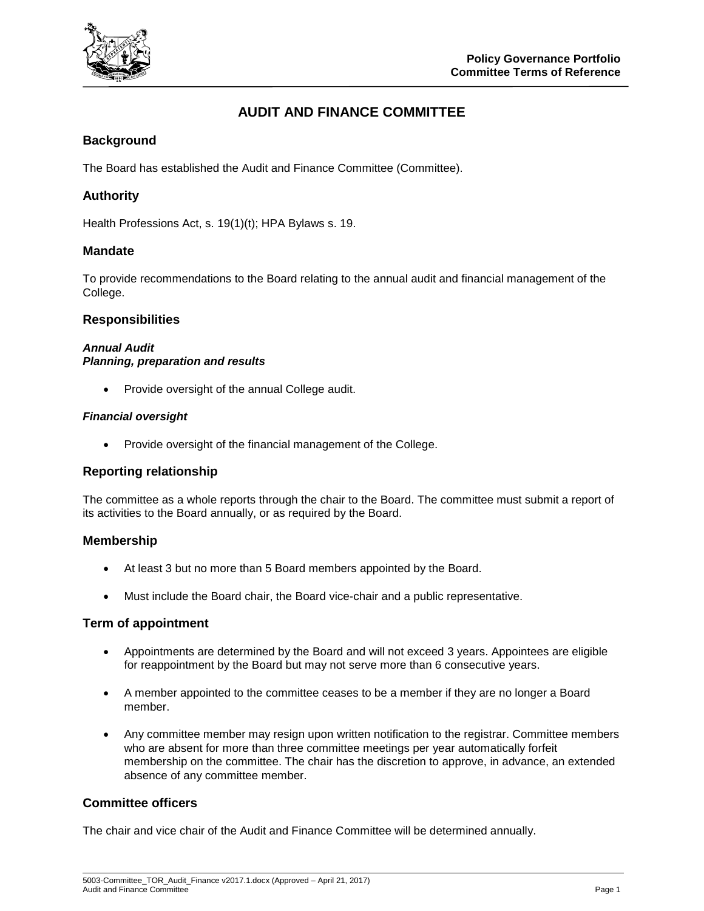

# **AUDIT AND FINANCE COMMITTEE**

## **Background**

The Board has established the Audit and Finance Committee (Committee).

## **Authority**

Health Professions Act, s. 19(1)(t); HPA Bylaws s. 19.

#### **Mandate**

To provide recommendations to the Board relating to the annual audit and financial management of the College.

#### **Responsibilities**

### *Annual Audit Planning, preparation and results*

• Provide oversight of the annual College audit.

#### *Financial oversight*

• Provide oversight of the financial management of the College.

#### **Reporting relationship**

The committee as a whole reports through the chair to the Board. The committee must submit a report of its activities to the Board annually, or as required by the Board.

#### **Membership**

- At least 3 but no more than 5 Board members appointed by the Board.
- Must include the Board chair, the Board vice-chair and a public representative.

#### **Term of appointment**

- Appointments are determined by the Board and will not exceed 3 years. Appointees are eligible for reappointment by the Board but may not serve more than 6 consecutive years.
- A member appointed to the committee ceases to be a member if they are no longer a Board member.
- Any committee member may resign upon written notification to the registrar. Committee members who are absent for more than three committee meetings per year automatically forfeit membership on the committee. The chair has the discretion to approve, in advance, an extended absence of any committee member.

#### **Committee officers**

The chair and vice chair of the Audit and Finance Committee will be determined annually.